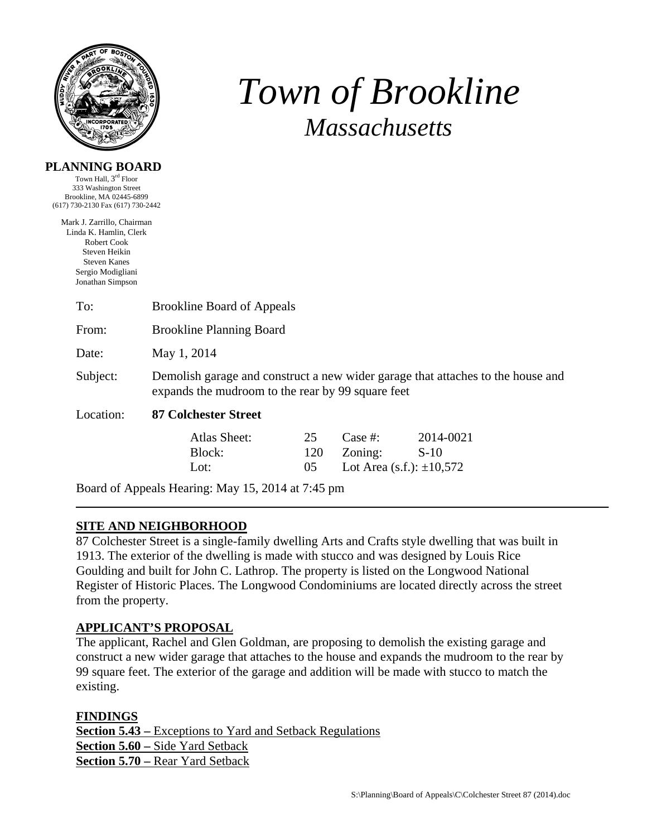

# *Town of Brookline Massachusetts*

#### **PLANNING BOARD**

Town Hall, 3rd Floor 333 Washington Street Brookline, MA 02445-6899 (617) 730-2130 Fax (617) 730-2442

Mark J. Zarrillo, Chairman Linda K. Hamlin, Clerk Robert Cook Steven Heikin Steven Kanes Sergio Modigliani Jonathan Simpson

| To:       | <b>Brookline Board of Appeals</b>                                                                                                    |                 |                                                                |                     |  |  |
|-----------|--------------------------------------------------------------------------------------------------------------------------------------|-----------------|----------------------------------------------------------------|---------------------|--|--|
| From:     | <b>Brookline Planning Board</b>                                                                                                      |                 |                                                                |                     |  |  |
| Date:     | May 1, 2014                                                                                                                          |                 |                                                                |                     |  |  |
| Subject:  | Demolish garage and construct a new wider garage that attaches to the house and<br>expands the mudroom to the rear by 99 square feet |                 |                                                                |                     |  |  |
| Location: | <b>87 Colchester Street</b>                                                                                                          |                 |                                                                |                     |  |  |
|           | Atlas Sheet:<br>Block:<br>Lot:                                                                                                       | 25<br>120<br>05 | Case  #:<br>$\sum_{\text{v}}$<br>Lot Area (s.f.): $\pm 10,572$ | 2014-0021<br>$S-10$ |  |  |

Board of Appeals Hearing: May 15, 2014 at 7:45 pm

## **SITE AND NEIGHBORHOOD**

87 Colchester Street is a single-family dwelling Arts and Crafts style dwelling that was built in 1913. The exterior of the dwelling is made with stucco and was designed by Louis Rice Goulding and built for John C. Lathrop. The property is listed on the Longwood National Register of Historic Places. The Longwood Condominiums are located directly across the street from the property.

### **APPLICANT'S PROPOSAL**

The applicant, Rachel and Glen Goldman, are proposing to demolish the existing garage and construct a new wider garage that attaches to the house and expands the mudroom to the rear by 99 square feet. The exterior of the garage and addition will be made with stucco to match the existing.

### **FINDINGS**

**Section 5.43 –** Exceptions to Yard and Setback Regulations **Section 5.60 –** Side Yard Setback **Section 5.70 –** Rear Yard Setback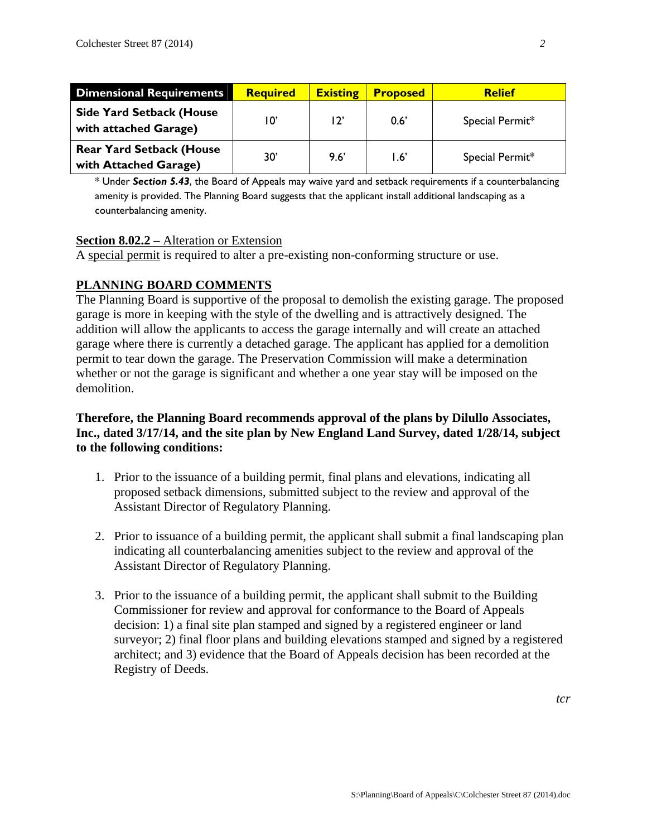| <b>Dimensional Requirements</b>                          | <b>Required</b> | <b>Existing</b> | <b>Proposed</b>   | <b>Relief</b>   |
|----------------------------------------------------------|-----------------|-----------------|-------------------|-----------------|
| <b>Side Yard Setback (House</b><br>with attached Garage) | 10'             | 12'             | $0.6^{\prime}$    | Special Permit* |
| <b>Rear Yard Setback (House</b><br>with Attached Garage) | 30'             | 9.6             | $\overline{1.6'}$ | Special Permit* |

\* Under *Section 5.43*, the Board of Appeals may waive yard and setback requirements if a counterbalancing amenity is provided. The Planning Board suggests that the applicant install additional landscaping as a counterbalancing amenity.

### **Section 8.02.2 –** Alteration or Extension

A special permit is required to alter a pre-existing non-conforming structure or use.

### **PLANNING BOARD COMMENTS**

The Planning Board is supportive of the proposal to demolish the existing garage. The proposed garage is more in keeping with the style of the dwelling and is attractively designed. The addition will allow the applicants to access the garage internally and will create an attached garage where there is currently a detached garage. The applicant has applied for a demolition permit to tear down the garage. The Preservation Commission will make a determination whether or not the garage is significant and whether a one year stay will be imposed on the demolition.

#### **Therefore, the Planning Board recommends approval of the plans by Dilullo Associates, Inc., dated 3/17/14, and the site plan by New England Land Survey, dated 1/28/14, subject to the following conditions:**

- 1. Prior to the issuance of a building permit, final plans and elevations, indicating all proposed setback dimensions, submitted subject to the review and approval of the Assistant Director of Regulatory Planning.
- 2. Prior to issuance of a building permit, the applicant shall submit a final landscaping plan indicating all counterbalancing amenities subject to the review and approval of the Assistant Director of Regulatory Planning.
- 3. Prior to the issuance of a building permit, the applicant shall submit to the Building Commissioner for review and approval for conformance to the Board of Appeals decision: 1) a final site plan stamped and signed by a registered engineer or land surveyor; 2) final floor plans and building elevations stamped and signed by a registered architect; and 3) evidence that the Board of Appeals decision has been recorded at the Registry of Deeds.

*tcr*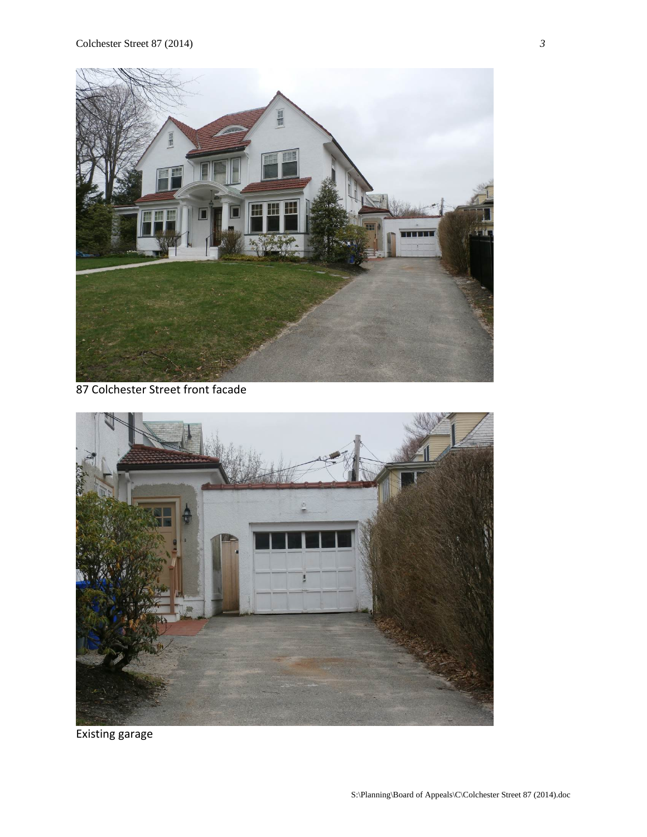

87 Colchester Street front facade



Existing garage